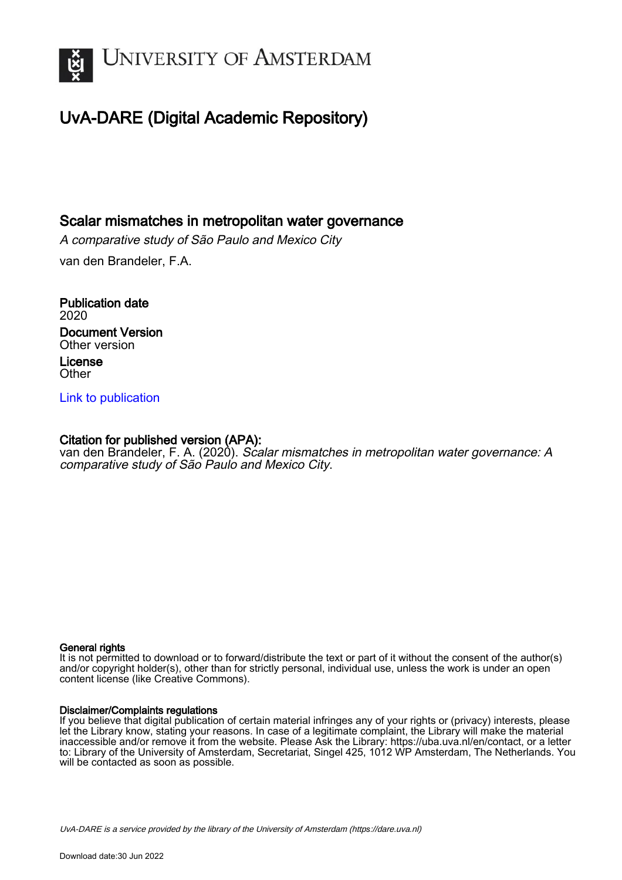

# UvA-DARE (Digital Academic Repository)

## Scalar mismatches in metropolitan water governance

A comparative study of São Paulo and Mexico City van den Brandeler, F.A.

Publication date 2020 Document Version Other version License **Other** 

### [Link to publication](https://dare.uva.nl/personal/pure/en/publications/scalar-mismatches-in-metropolitan-water-governance(9a84eff5-dcf5-4d20-a99d-5727451e10f3).html)

## Citation for published version (APA):

van den Brandeler, F. A. (2020). Scalar mismatches in metropolitan water governance: A comparative study of São Paulo and Mexico City.

#### General rights

It is not permitted to download or to forward/distribute the text or part of it without the consent of the author(s) and/or copyright holder(s), other than for strictly personal, individual use, unless the work is under an open content license (like Creative Commons).

#### Disclaimer/Complaints regulations

If you believe that digital publication of certain material infringes any of your rights or (privacy) interests, please let the Library know, stating your reasons. In case of a legitimate complaint, the Library will make the material inaccessible and/or remove it from the website. Please Ask the Library: https://uba.uva.nl/en/contact, or a letter to: Library of the University of Amsterdam, Secretariat, Singel 425, 1012 WP Amsterdam, The Netherlands. You will be contacted as soon as possible.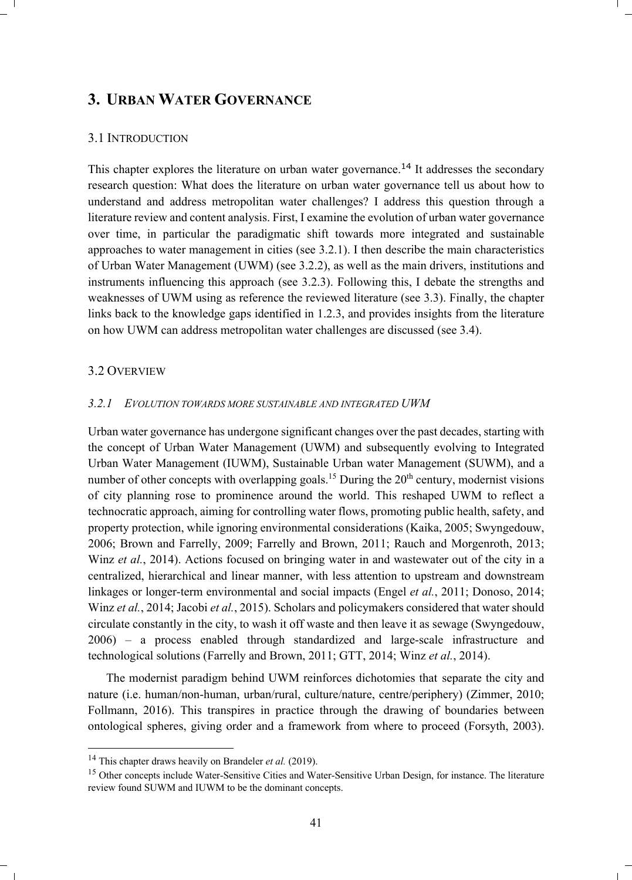## **3. URBAN WATER GOVERNANCE**

#### 3.1 INTRODUCTION

This chapter explores the literature on urban water governance.<sup>14</sup> It addresses the secondary research question: What does the literature on urban water governance tell us about how to understand and address metropolitan water challenges? I address this question through a literature review and content analysis. First, I examine the evolution of urban water governance over time, in particular the paradigmatic shift towards more integrated and sustainable approaches to water management in cities (see 3.2.1). I then describe the main characteristics of Urban Water Management (UWM) (see 3.2.2), as well as the main drivers, institutions and instruments influencing this approach (see 3.2.3). Following this, I debate the strengths and weaknesses of UWM using as reference the reviewed literature (see 3.3). Finally, the chapter links back to the knowledge gaps identified in 1.2.3, and provides insights from the literature on how UWM can address metropolitan water challenges are discussed (see 3.4).

#### 3.2 OVERVIEW

#### *3.2.1 EVOLUTION TOWARDS MORE SUSTAINABLE AND INTEGRATED UWM*

Urban water governance has undergone significant changes over the past decades, starting with the concept of Urban Water Management (UWM) and subsequently evolving to Integrated Urban Water Management (IUWM), Sustainable Urban water Management (SUWM), and a number of other concepts with overlapping goals.<sup>15</sup> During the  $20<sup>th</sup>$  century, modernist visions of city planning rose to prominence around the world. This reshaped UWM to reflect a technocratic approach, aiming for controlling water flows, promoting public health, safety, and property protection, while ignoring environmental considerations (Kaika, 2005; Swyngedouw, 2006; Brown and Farrelly, 2009; Farrelly and Brown, 2011; Rauch and Morgenroth, 2013; Winz *et al.*, 2014). Actions focused on bringing water in and wastewater out of the city in a centralized, hierarchical and linear manner, with less attention to upstream and downstream linkages or longer-term environmental and social impacts (Engel *et al.*, 2011; Donoso, 2014; Winz *et al.*, 2014; Jacobi *et al.*, 2015). Scholars and policymakers considered that water should circulate constantly in the city, to wash it off waste and then leave it as sewage (Swyngedouw, 2006) – a process enabled through standardized and large-scale infrastructure and technological solutions (Farrelly and Brown, 2011; GTT, 2014; Winz *et al.*, 2014).

The modernist paradigm behind UWM reinforces dichotomies that separate the city and nature (i.e. human/non-human, urban/rural, culture/nature, centre/periphery) (Zimmer, 2010; Follmann, 2016). This transpires in practice through the drawing of boundaries between ontological spheres, giving order and a framework from where to proceed (Forsyth, 2003).

<sup>&</sup>lt;sup>14</sup> This chapter draws heavily on Brandeler *et al.* (2019).<br><sup>15</sup> Other concepts include Water-Sensitive Cities and Water-Sensitive Urban Design, for instance. The literature review found SUWM and IUWM to be the dominant concepts.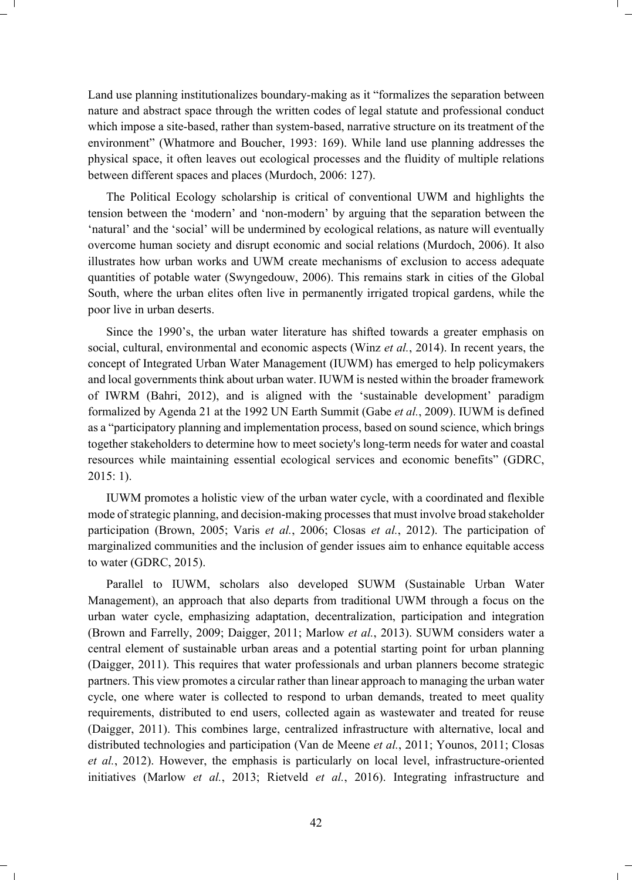Land use planning institutionalizes boundary-making as it "formalizes the separation between nature and abstract space through the written codes of legal statute and professional conduct which impose a site-based, rather than system-based, narrative structure on its treatment of the environment" (Whatmore and Boucher, 1993: 169). While land use planning addresses the physical space, it often leaves out ecological processes and the fluidity of multiple relations between different spaces and places (Murdoch, 2006: 127).

The Political Ecology scholarship is critical of conventional UWM and highlights the tension between the 'modern' and 'non-modern' by arguing that the separation between the 'natural' and the 'social' will be undermined by ecological relations, as nature will eventually overcome human society and disrupt economic and social relations (Murdoch, 2006). It also illustrates how urban works and UWM create mechanisms of exclusion to access adequate quantities of potable water (Swyngedouw, 2006). This remains stark in cities of the Global South, where the urban elites often live in permanently irrigated tropical gardens, while the poor live in urban deserts.

Since the 1990's, the urban water literature has shifted towards a greater emphasis on social, cultural, environmental and economic aspects (Winz *et al.*, 2014). In recent years, the concept of Integrated Urban Water Management (IUWM) has emerged to help policymakers and local governments think about urban water. IUWM is nested within the broader framework of IWRM (Bahri, 2012), and is aligned with the 'sustainable development' paradigm formalized by Agenda 21 at the 1992 UN Earth Summit (Gabe *et al.*, 2009). IUWM is defined as a "participatory planning and implementation process, based on sound science, which brings together stakeholders to determine how to meet society's long-term needs for water and coastal resources while maintaining essential ecological services and economic benefits" (GDRC, 2015: 1).

IUWM promotes a holistic view of the urban water cycle, with a coordinated and flexible mode of strategic planning, and decision-making processes that must involve broad stakeholder participation (Brown, 2005; Varis *et al.*, 2006; Closas *et al.*, 2012). The participation of marginalized communities and the inclusion of gender issues aim to enhance equitable access to water (GDRC, 2015).

Parallel to IUWM, scholars also developed SUWM (Sustainable Urban Water Management), an approach that also departs from traditional UWM through a focus on the urban water cycle, emphasizing adaptation, decentralization, participation and integration (Brown and Farrelly, 2009; Daigger, 2011; Marlow *et al.*, 2013). SUWM considers water a central element of sustainable urban areas and a potential starting point for urban planning (Daigger, 2011). This requires that water professionals and urban planners become strategic partners. This view promotes a circular rather than linear approach to managing the urban water cycle, one where water is collected to respond to urban demands, treated to meet quality requirements, distributed to end users, collected again as wastewater and treated for reuse (Daigger, 2011). This combines large, centralized infrastructure with alternative, local and distributed technologies and participation (Van de Meene *et al.*, 2011; Younos, 2011; Closas *et al.*, 2012). However, the emphasis is particularly on local level, infrastructure-oriented initiatives (Marlow *et al.*, 2013; Rietveld *et al.*, 2016). Integrating infrastructure and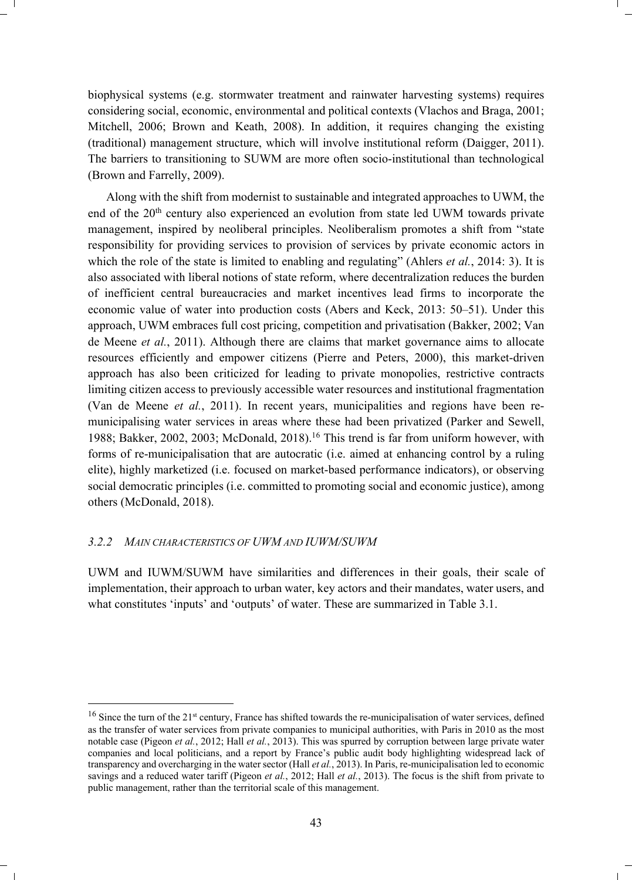biophysical systems (e.g. stormwater treatment and rainwater harvesting systems) requires considering social, economic, environmental and political contexts (Vlachos and Braga, 2001; Mitchell, 2006; Brown and Keath, 2008). In addition, it requires changing the existing (traditional) management structure, which will involve institutional reform (Daigger, 2011). The barriers to transitioning to SUWM are more often socio-institutional than technological (Brown and Farrelly, 2009).

Along with the shift from modernist to sustainable and integrated approaches to UWM, the end of the 20th century also experienced an evolution from state led UWM towards private management, inspired by neoliberal principles. Neoliberalism promotes a shift from "state responsibility for providing services to provision of services by private economic actors in which the role of the state is limited to enabling and regulating" (Ahlers *et al.*, 2014: 3). It is also associated with liberal notions of state reform, where decentralization reduces the burden of inefficient central bureaucracies and market incentives lead firms to incorporate the economic value of water into production costs (Abers and Keck, 2013: 50–51). Under this approach, UWM embraces full cost pricing, competition and privatisation (Bakker, 2002; Van de Meene *et al.*, 2011). Although there are claims that market governance aims to allocate resources efficiently and empower citizens (Pierre and Peters, 2000), this market-driven approach has also been criticized for leading to private monopolies, restrictive contracts limiting citizen access to previously accessible water resources and institutional fragmentation (Van de Meene *et al.*, 2011). In recent years, municipalities and regions have been remunicipalising water services in areas where these had been privatized (Parker and Sewell, 1988; Bakker, 2002, 2003; McDonald, 2018).16 This trend is far from uniform however, with forms of re-municipalisation that are autocratic (i.e. aimed at enhancing control by a ruling elite), highly marketized (i.e. focused on market-based performance indicators), or observing social democratic principles (i.e. committed to promoting social and economic justice), among others (McDonald, 2018).

#### *3.2.2 MAIN CHARACTERISTICS OF UWM AND IUWM/SUWM*

UWM and IUWM/SUWM have similarities and differences in their goals, their scale of implementation, their approach to urban water, key actors and their mandates, water users, and what constitutes 'inputs' and 'outputs' of water. These are summarized in Table 3.1.

<sup>&</sup>lt;sup>16</sup> Since the turn of the 21<sup>st</sup> century, France has shifted towards the re-municipalisation of water services, defined as the transfer of water services from private companies to municipal authorities, with Paris in 2010 as the most notable case (Pigeon *et al.*, 2012; Hall *et al.*, 2013). This was spurred by corruption between large private water companies and local politicians, and a report by France's public audit body highlighting widespread lack of transparency and overcharging in the water sector (Hall *et al.*, 2013). In Paris, re-municipalisation led to economic savings and a reduced water tariff (Pigeon *et al.*, 2012; Hall *et al.*, 2013). The focus is the shift from private to public management, rather than the territorial scale of this management.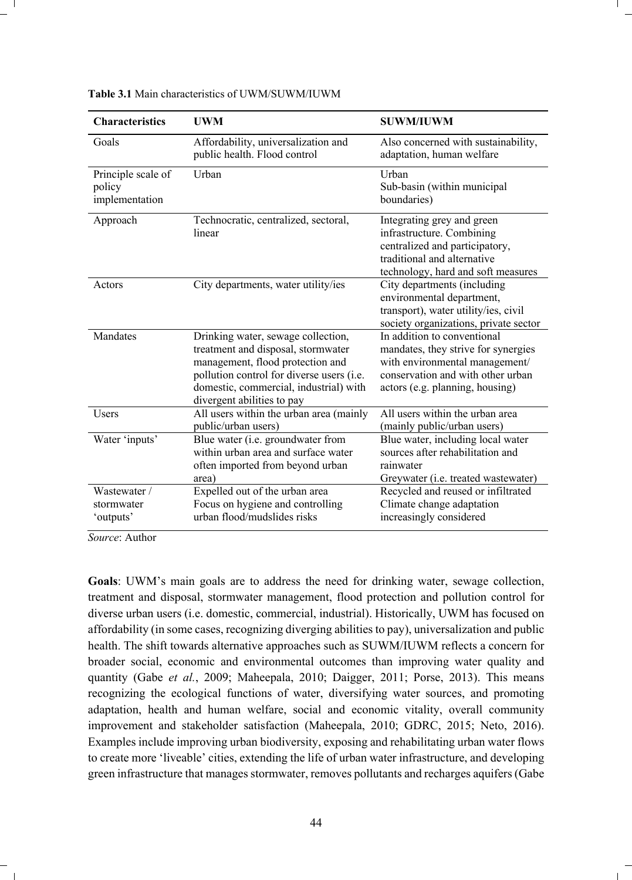| <b>Characteristics</b>                         | <b>UWM</b>                                                                                                                                                                                                                        | <b>SUWM/IUWM</b>                                                                                                                                                             |
|------------------------------------------------|-----------------------------------------------------------------------------------------------------------------------------------------------------------------------------------------------------------------------------------|------------------------------------------------------------------------------------------------------------------------------------------------------------------------------|
| Goals                                          | Affordability, universalization and<br>public health. Flood control                                                                                                                                                               | Also concerned with sustainability,<br>adaptation, human welfare                                                                                                             |
| Principle scale of<br>policy<br>implementation | Urban                                                                                                                                                                                                                             | Urban<br>Sub-basin (within municipal<br>boundaries)                                                                                                                          |
| Approach                                       | Technocratic, centralized, sectoral,<br>linear                                                                                                                                                                                    | Integrating grey and green<br>infrastructure. Combining<br>centralized and participatory,<br>traditional and alternative<br>technology, hard and soft measures               |
| Actors                                         | City departments, water utility/ies                                                                                                                                                                                               | City departments (including<br>environmental department,<br>transport), water utility/ies, civil<br>society organizations, private sector                                    |
| Mandates                                       | Drinking water, sewage collection,<br>treatment and disposal, stormwater<br>management, flood protection and<br>pollution control for diverse users (i.e.<br>domestic, commercial, industrial) with<br>divergent abilities to pay | In addition to conventional<br>mandates, they strive for synergies<br>with environmental management/<br>conservation and with other urban<br>actors (e.g. planning, housing) |
| Users                                          | All users within the urban area (mainly<br>public/urban users)                                                                                                                                                                    | All users within the urban area<br>(mainly public/urban users)                                                                                                               |
| Water 'inputs'                                 | Blue water (i.e. groundwater from<br>within urban area and surface water<br>often imported from beyond urban<br>area)                                                                                                             | Blue water, including local water<br>sources after rehabilitation and<br>rainwater<br>Greywater (i.e. treated wastewater)                                                    |
| Wastewater /<br>stormwater<br>'outputs'        | Expelled out of the urban area<br>Focus on hygiene and controlling<br>urban flood/mudslides risks                                                                                                                                 | Recycled and reused or infiltrated<br>Climate change adaptation<br>increasingly considered                                                                                   |

**Table 3.1** Main characteristics of UWM/SUWM/IUWM

*Source*: Author

**Goals**: UWM's main goals are to address the need for drinking water, sewage collection, treatment and disposal, stormwater management, flood protection and pollution control for diverse urban users (i.e. domestic, commercial, industrial). Historically, UWM has focused on affordability (in some cases, recognizing diverging abilities to pay), universalization and public health. The shift towards alternative approaches such as SUWM/IUWM reflects a concern for broader social, economic and environmental outcomes than improving water quality and quantity (Gabe *et al.*, 2009; Maheepala, 2010; Daigger, 2011; Porse, 2013). This means recognizing the ecological functions of water, diversifying water sources, and promoting adaptation, health and human welfare, social and economic vitality, overall community improvement and stakeholder satisfaction (Maheepala, 2010; GDRC, 2015; Neto, 2016). Examples include improving urban biodiversity, exposing and rehabilitating urban water flows to create more 'liveable' cities, extending the life of urban water infrastructure, and developing green infrastructure that manages stormwater, removes pollutants and recharges aquifers (Gabe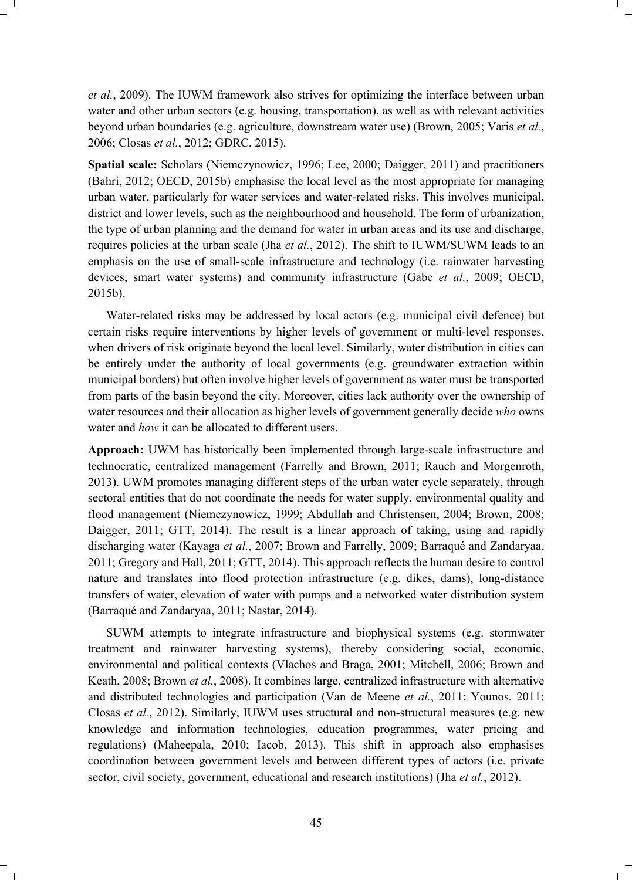*et al.*, 2009). The IUWM framework also strives for optimizing the interface between urban water and other urban sectors (e.g. housing, transportation), as well as with relevant activities beyond urban boundaries (e.g. agriculture, downstream water use) (Brown, 2005; Varis *et al.*, 2006; Closas *et al.*, 2012; GDRC, 2015).

**Spatial scale:** Scholars (Niemczynowicz, 1996; Lee, 2000; Daigger, 2011) and practitioners (Bahri, 2012; OECD, 2015b) emphasise the local level as the most appropriate for managing urban water, particularly for water services and water-related risks. This involves municipal, district and lower levels, such as the neighbourhood and household. The form of urbanization, the type of urban planning and the demand for water in urban areas and its use and discharge, requires policies at the urban scale (Jha *et al.*, 2012). The shift to IUWM/SUWM leads to an emphasis on the use of small-scale infrastructure and technology (i.e. rainwater harvesting devices, smart water systems) and community infrastructure (Gabe *et al.*, 2009; OECD, 2015b).

Water-related risks may be addressed by local actors (e.g. municipal civil defence) but certain risks require interventions by higher levels of government or multi-level responses, when drivers of risk originate beyond the local level. Similarly, water distribution in cities can be entirely under the authority of local governments (e.g. groundwater extraction within municipal borders) but often involve higher levels of government as water must be transported from parts of the basin beyond the city. Moreover, cities lack authority over the ownership of water resources and their allocation as higher levels of government generally decide *who* owns water and *how* it can be allocated to different users.

**Approach:** UWM has historically been implemented through large-scale infrastructure and technocratic, centralized management (Farrelly and Brown, 2011; Rauch and Morgenroth, 2013). UWM promotes managing different steps of the urban water cycle separately, through sectoral entities that do not coordinate the needs for water supply, environmental quality and flood management (Niemczynowicz, 1999; Abdullah and Christensen, 2004; Brown, 2008; Daigger, 2011; GTT, 2014). The result is a linear approach of taking, using and rapidly discharging water (Kayaga *et al.*, 2007; Brown and Farrelly, 2009; Barraqué and Zandaryaa, 2011; Gregory and Hall, 2011; GTT, 2014). This approach reflects the human desire to control nature and translates into flood protection infrastructure (e.g. dikes, dams), long-distance transfers of water, elevation of water with pumps and a networked water distribution system (Barraqué and Zandaryaa, 2011; Nastar, 2014).

SUWM attempts to integrate infrastructure and biophysical systems (e.g. stormwater treatment and rainwater harvesting systems), thereby considering social, economic, environmental and political contexts (Vlachos and Braga, 2001; Mitchell, 2006; Brown and Keath, 2008; Brown *et al.*, 2008). It combines large, centralized infrastructure with alternative and distributed technologies and participation (Van de Meene *et al.*, 2011; Younos, 2011; Closas *et al.*, 2012). Similarly, IUWM uses structural and non-structural measures (e.g. new knowledge and information technologies, education programmes, water pricing and regulations) (Maheepala, 2010; Iacob, 2013). This shift in approach also emphasises coordination between government levels and between different types of actors (i.e. private sector, civil society, government, educational and research institutions) (Jha *et al.*, 2012).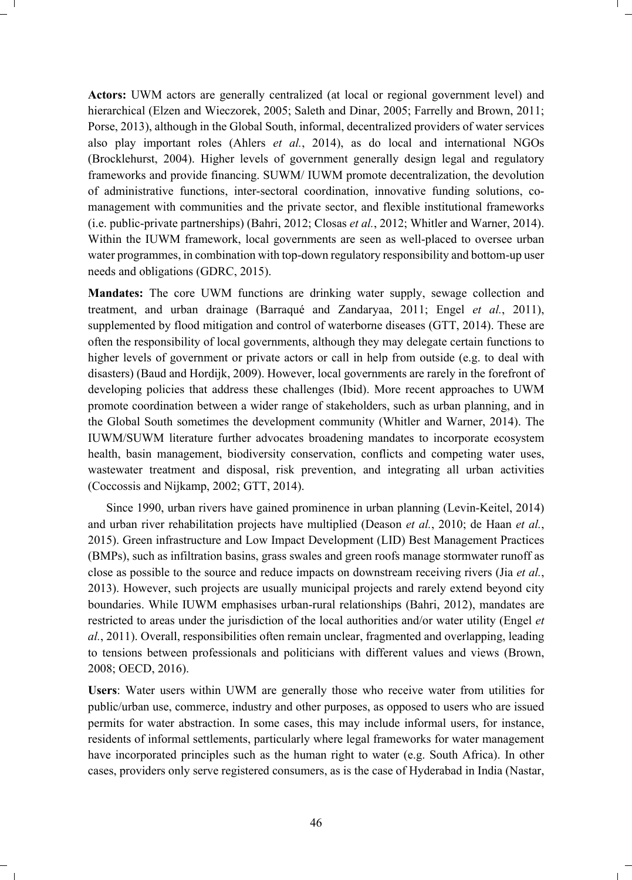**Actors:** UWM actors are generally centralized (at local or regional government level) and hierarchical (Elzen and Wieczorek, 2005; Saleth and Dinar, 2005; Farrelly and Brown, 2011; Porse, 2013), although in the Global South, informal, decentralized providers of water services also play important roles (Ahlers *et al.*, 2014), as do local and international NGOs (Brocklehurst, 2004). Higher levels of government generally design legal and regulatory frameworks and provide financing. SUWM/ IUWM promote decentralization, the devolution of administrative functions, inter-sectoral coordination, innovative funding solutions, comanagement with communities and the private sector, and flexible institutional frameworks (i.e. public-private partnerships) (Bahri, 2012; Closas *et al.*, 2012; Whitler and Warner, 2014). Within the IUWM framework, local governments are seen as well-placed to oversee urban water programmes, in combination with top-down regulatory responsibility and bottom-up user needs and obligations (GDRC, 2015).

**Mandates:** The core UWM functions are drinking water supply, sewage collection and treatment, and urban drainage (Barraqué and Zandaryaa, 2011; Engel *et al.*, 2011), supplemented by flood mitigation and control of waterborne diseases (GTT, 2014). These are often the responsibility of local governments, although they may delegate certain functions to higher levels of government or private actors or call in help from outside (e.g. to deal with disasters) (Baud and Hordijk, 2009). However, local governments are rarely in the forefront of developing policies that address these challenges (Ibid). More recent approaches to UWM promote coordination between a wider range of stakeholders, such as urban planning, and in the Global South sometimes the development community (Whitler and Warner, 2014). The IUWM/SUWM literature further advocates broadening mandates to incorporate ecosystem health, basin management, biodiversity conservation, conflicts and competing water uses, wastewater treatment and disposal, risk prevention, and integrating all urban activities (Coccossis and Nijkamp, 2002; GTT, 2014).

Since 1990, urban rivers have gained prominence in urban planning (Levin-Keitel, 2014) and urban river rehabilitation projects have multiplied (Deason *et al.*, 2010; de Haan *et al.*, 2015). Green infrastructure and Low Impact Development (LID) Best Management Practices (BMPs), such as infiltration basins, grass swales and green roofs manage stormwater runoff as close as possible to the source and reduce impacts on downstream receiving rivers (Jia *et al.*, 2013). However, such projects are usually municipal projects and rarely extend beyond city boundaries. While IUWM emphasises urban-rural relationships (Bahri, 2012), mandates are restricted to areas under the jurisdiction of the local authorities and/or water utility (Engel *et al.*, 2011). Overall, responsibilities often remain unclear, fragmented and overlapping, leading to tensions between professionals and politicians with different values and views (Brown, 2008; OECD, 2016).

**Users**: Water users within UWM are generally those who receive water from utilities for public/urban use, commerce, industry and other purposes, as opposed to users who are issued permits for water abstraction. In some cases, this may include informal users, for instance, residents of informal settlements, particularly where legal frameworks for water management have incorporated principles such as the human right to water (e.g. South Africa). In other cases, providers only serve registered consumers, as is the case of Hyderabad in India (Nastar,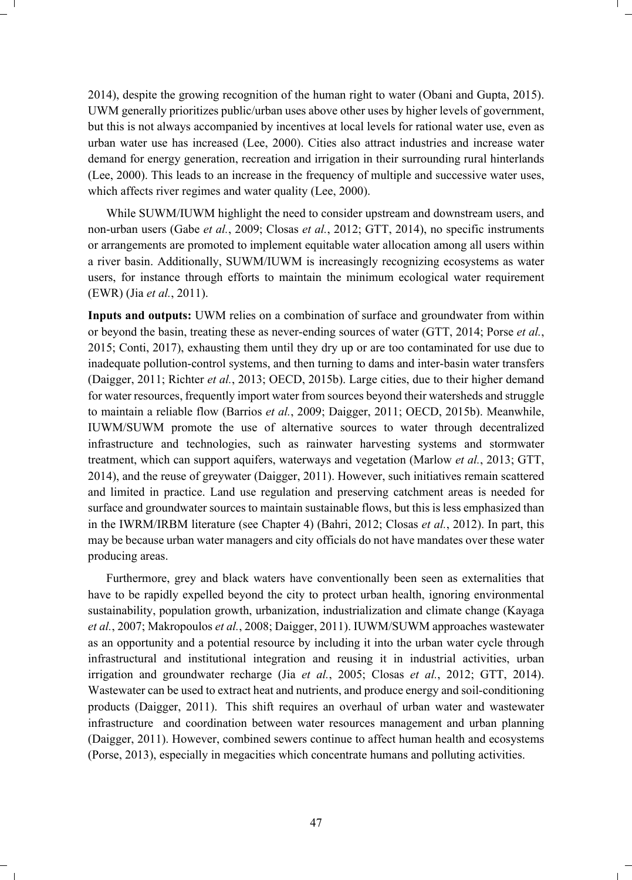2014), despite the growing recognition of the human right to water (Obani and Gupta, 2015). UWM generally prioritizes public/urban uses above other uses by higher levels of government, but this is not always accompanied by incentives at local levels for rational water use, even as urban water use has increased (Lee, 2000). Cities also attract industries and increase water demand for energy generation, recreation and irrigation in their surrounding rural hinterlands (Lee, 2000). This leads to an increase in the frequency of multiple and successive water uses, which affects river regimes and water quality (Lee, 2000).

While SUWM/IUWM highlight the need to consider upstream and downstream users, and non-urban users (Gabe *et al.*, 2009; Closas *et al.*, 2012; GTT, 2014), no specific instruments or arrangements are promoted to implement equitable water allocation among all users within a river basin. Additionally, SUWM/IUWM is increasingly recognizing ecosystems as water users, for instance through efforts to maintain the minimum ecological water requirement (EWR) (Jia *et al.*, 2011).

**Inputs and outputs:** UWM relies on a combination of surface and groundwater from within or beyond the basin, treating these as never-ending sources of water (GTT, 2014; Porse *et al.*, 2015; Conti, 2017), exhausting them until they dry up or are too contaminated for use due to inadequate pollution-control systems, and then turning to dams and inter-basin water transfers (Daigger, 2011; Richter *et al.*, 2013; OECD, 2015b). Large cities, due to their higher demand for water resources, frequently import water from sources beyond their watersheds and struggle to maintain a reliable flow (Barrios *et al.*, 2009; Daigger, 2011; OECD, 2015b). Meanwhile, IUWM/SUWM promote the use of alternative sources to water through decentralized infrastructure and technologies, such as rainwater harvesting systems and stormwater treatment, which can support aquifers, waterways and vegetation (Marlow *et al.*, 2013; GTT, 2014), and the reuse of greywater (Daigger, 2011). However, such initiatives remain scattered and limited in practice. Land use regulation and preserving catchment areas is needed for surface and groundwater sources to maintain sustainable flows, but this is less emphasized than in the IWRM/IRBM literature (see Chapter 4) (Bahri, 2012; Closas *et al.*, 2012). In part, this may be because urban water managers and city officials do not have mandates over these water producing areas.

Furthermore, grey and black waters have conventionally been seen as externalities that have to be rapidly expelled beyond the city to protect urban health, ignoring environmental sustainability, population growth, urbanization, industrialization and climate change (Kayaga *et al.*, 2007; Makropoulos *et al.*, 2008; Daigger, 2011). IUWM/SUWM approaches wastewater as an opportunity and a potential resource by including it into the urban water cycle through infrastructural and institutional integration and reusing it in industrial activities, urban irrigation and groundwater recharge (Jia *et al.*, 2005; Closas *et al.*, 2012; GTT, 2014). Wastewater can be used to extract heat and nutrients, and produce energy and soil-conditioning products (Daigger, 2011). This shift requires an overhaul of urban water and wastewater infrastructure and coordination between water resources management and urban planning (Daigger, 2011). However, combined sewers continue to affect human health and ecosystems (Porse, 2013), especially in megacities which concentrate humans and polluting activities.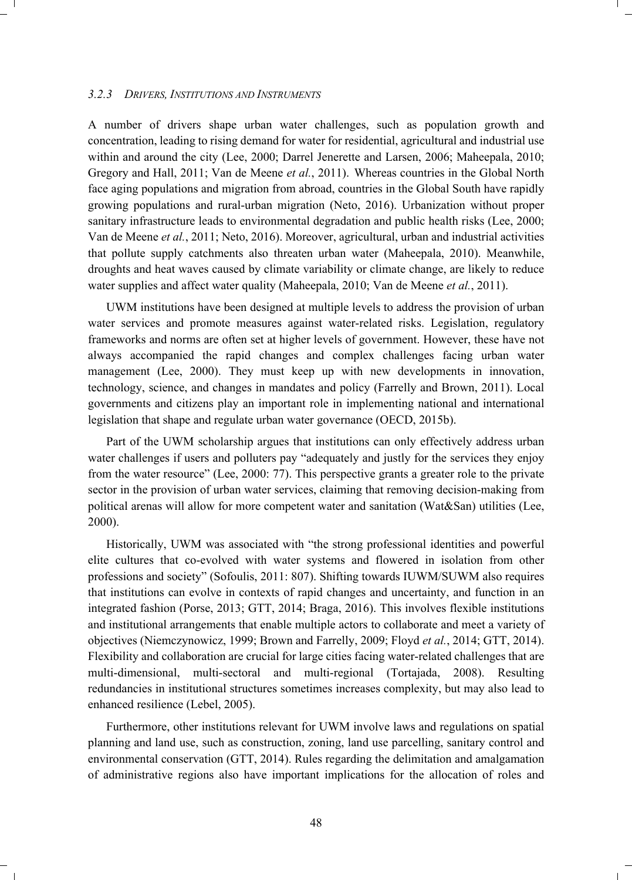#### *3.2.3 DRIVERS, INSTITUTIONS AND INSTRUMENTS*

A number of drivers shape urban water challenges, such as population growth and concentration, leading to rising demand for water for residential, agricultural and industrial use within and around the city (Lee, 2000; Darrel Jenerette and Larsen, 2006; Maheepala, 2010; Gregory and Hall, 2011; Van de Meene *et al.*, 2011). Whereas countries in the Global North face aging populations and migration from abroad, countries in the Global South have rapidly growing populations and rural-urban migration (Neto, 2016). Urbanization without proper sanitary infrastructure leads to environmental degradation and public health risks (Lee, 2000; Van de Meene *et al.*, 2011; Neto, 2016). Moreover, agricultural, urban and industrial activities that pollute supply catchments also threaten urban water (Maheepala, 2010). Meanwhile, droughts and heat waves caused by climate variability or climate change, are likely to reduce water supplies and affect water quality (Maheepala, 2010; Van de Meene *et al.*, 2011).

UWM institutions have been designed at multiple levels to address the provision of urban water services and promote measures against water-related risks. Legislation, regulatory frameworks and norms are often set at higher levels of government. However, these have not always accompanied the rapid changes and complex challenges facing urban water management (Lee, 2000). They must keep up with new developments in innovation, technology, science, and changes in mandates and policy (Farrelly and Brown, 2011). Local governments and citizens play an important role in implementing national and international legislation that shape and regulate urban water governance (OECD, 2015b).

Part of the UWM scholarship argues that institutions can only effectively address urban water challenges if users and polluters pay "adequately and justly for the services they enjoy from the water resource" (Lee, 2000: 77). This perspective grants a greater role to the private sector in the provision of urban water services, claiming that removing decision-making from political arenas will allow for more competent water and sanitation (Wat&San) utilities (Lee, 2000).

Historically, UWM was associated with "the strong professional identities and powerful elite cultures that co-evolved with water systems and flowered in isolation from other professions and society" (Sofoulis, 2011: 807). Shifting towards IUWM/SUWM also requires that institutions can evolve in contexts of rapid changes and uncertainty, and function in an integrated fashion (Porse, 2013; GTT, 2014; Braga, 2016). This involves flexible institutions and institutional arrangements that enable multiple actors to collaborate and meet a variety of objectives (Niemczynowicz, 1999; Brown and Farrelly, 2009; Floyd *et al.*, 2014; GTT, 2014). Flexibility and collaboration are crucial for large cities facing water-related challenges that are multi-dimensional, multi-sectoral and multi-regional (Tortajada, 2008). Resulting redundancies in institutional structures sometimes increases complexity, but may also lead to enhanced resilience (Lebel, 2005).

Furthermore, other institutions relevant for UWM involve laws and regulations on spatial planning and land use, such as construction, zoning, land use parcelling, sanitary control and environmental conservation (GTT, 2014). Rules regarding the delimitation and amalgamation of administrative regions also have important implications for the allocation of roles and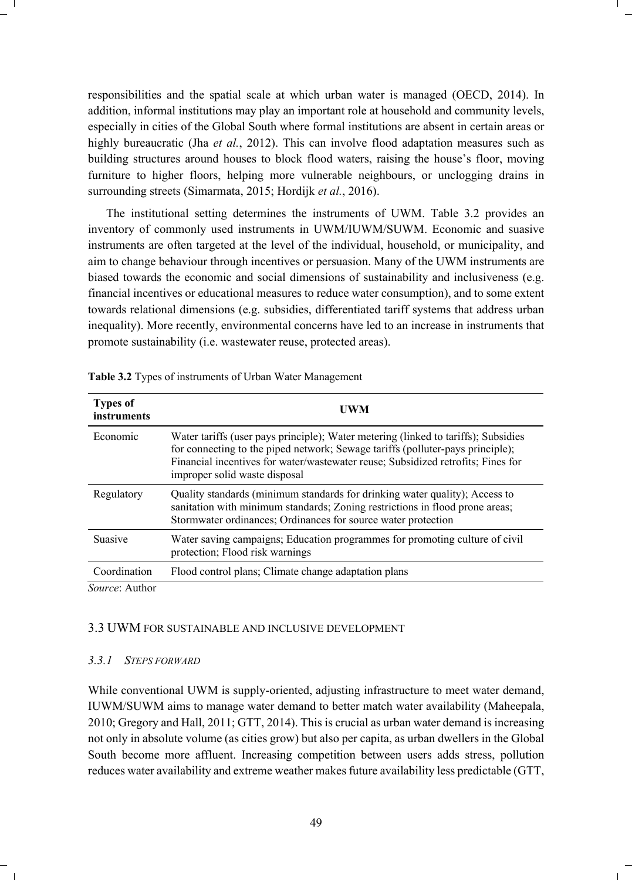responsibilities and the spatial scale at which urban water is managed (OECD, 2014). In addition, informal institutions may play an important role at household and community levels, especially in cities of the Global South where formal institutions are absent in certain areas or highly bureaucratic (Jha *et al.*, 2012). This can involve flood adaptation measures such as building structures around houses to block flood waters, raising the house's floor, moving furniture to higher floors, helping more vulnerable neighbours, or unclogging drains in surrounding streets (Simarmata, 2015; Hordijk *et al.*, 2016).

The institutional setting determines the instruments of UWM. Table 3.2 provides an inventory of commonly used instruments in UWM/IUWM/SUWM. Economic and suasive instruments are often targeted at the level of the individual, household, or municipality, and aim to change behaviour through incentives or persuasion. Many of the UWM instruments are biased towards the economic and social dimensions of sustainability and inclusiveness (e.g. financial incentives or educational measures to reduce water consumption), and to some extent towards relational dimensions (e.g. subsidies, differentiated tariff systems that address urban inequality). More recently, environmental concerns have led to an increase in instruments that promote sustainability (i.e. wastewater reuse, protected areas).

| <b>Types of</b><br>instruments | UWM                                                                                                                                                                                                                                                                                       |
|--------------------------------|-------------------------------------------------------------------------------------------------------------------------------------------------------------------------------------------------------------------------------------------------------------------------------------------|
| Economic                       | Water tariffs (user pays principle); Water metering (linked to tariffs); Subsidies<br>for connecting to the piped network; Sewage tariffs (polluter-pays principle);<br>Financial incentives for water/wastewater reuse; Subsidized retrofits; Fines for<br>improper solid waste disposal |
| Regulatory                     | Quality standards (minimum standards for drinking water quality); Access to<br>sanitation with minimum standards; Zoning restrictions in flood prone areas;<br>Stormwater ordinances; Ordinances for source water protection                                                              |
| <b>Suasive</b>                 | Water saving campaigns; Education programmes for promoting culture of civil<br>protection; Flood risk warnings                                                                                                                                                                            |
| Coordination                   | Flood control plans; Climate change adaptation plans                                                                                                                                                                                                                                      |
| $\alpha = 1$                   |                                                                                                                                                                                                                                                                                           |

**Table 3.2** Types of instruments of Urban Water Management

*Source*: Author

#### 3.3 UWM FOR SUSTAINABLE AND INCLUSIVE DEVELOPMENT

#### *3.3.1 STEPS FORWARD*

While conventional UWM is supply-oriented, adjusting infrastructure to meet water demand, IUWM/SUWM aims to manage water demand to better match water availability (Maheepala, 2010; Gregory and Hall, 2011; GTT, 2014). This is crucial as urban water demand is increasing not only in absolute volume (as cities grow) but also per capita, as urban dwellers in the Global South become more affluent. Increasing competition between users adds stress, pollution reduces water availability and extreme weather makes future availability less predictable (GTT,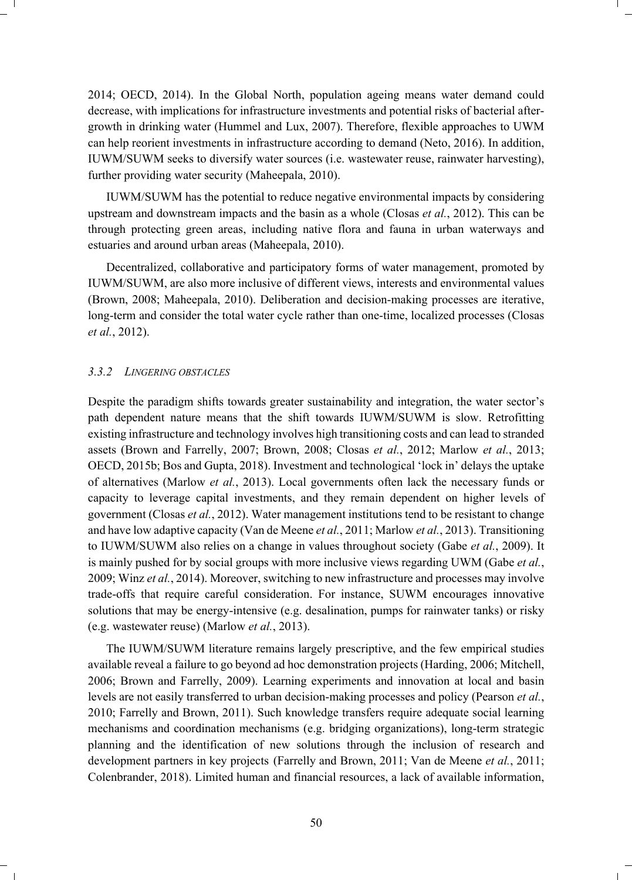2014; OECD, 2014). In the Global North, population ageing means water demand could decrease, with implications for infrastructure investments and potential risks of bacterial aftergrowth in drinking water (Hummel and Lux, 2007). Therefore, flexible approaches to UWM can help reorient investments in infrastructure according to demand (Neto, 2016). In addition, IUWM/SUWM seeks to diversify water sources (i.e. wastewater reuse, rainwater harvesting), further providing water security (Maheepala, 2010).

IUWM/SUWM has the potential to reduce negative environmental impacts by considering upstream and downstream impacts and the basin as a whole (Closas *et al.*, 2012). This can be through protecting green areas, including native flora and fauna in urban waterways and estuaries and around urban areas (Maheepala, 2010).

Decentralized, collaborative and participatory forms of water management, promoted by IUWM/SUWM, are also more inclusive of different views, interests and environmental values (Brown, 2008; Maheepala, 2010). Deliberation and decision-making processes are iterative, long-term and consider the total water cycle rather than one-time, localized processes (Closas *et al.*, 2012).

#### *3.3.2 LINGERING OBSTACLES*

Despite the paradigm shifts towards greater sustainability and integration, the water sector's path dependent nature means that the shift towards IUWM/SUWM is slow. Retrofitting existing infrastructure and technology involves high transitioning costs and can lead to stranded assets (Brown and Farrelly, 2007; Brown, 2008; Closas *et al.*, 2012; Marlow *et al.*, 2013; OECD, 2015b; Bos and Gupta, 2018). Investment and technological 'lock in' delays the uptake of alternatives (Marlow *et al.*, 2013). Local governments often lack the necessary funds or capacity to leverage capital investments, and they remain dependent on higher levels of government (Closas *et al.*, 2012). Water management institutions tend to be resistant to change and have low adaptive capacity (Van de Meene *et al.*, 2011; Marlow *et al.*, 2013). Transitioning to IUWM/SUWM also relies on a change in values throughout society (Gabe *et al.*, 2009). It is mainly pushed for by social groups with more inclusive views regarding UWM (Gabe *et al.*, 2009; Winz *et al.*, 2014). Moreover, switching to new infrastructure and processes may involve trade-offs that require careful consideration. For instance, SUWM encourages innovative solutions that may be energy-intensive (e.g. desalination, pumps for rainwater tanks) or risky (e.g. wastewater reuse) (Marlow *et al.*, 2013).

The IUWM/SUWM literature remains largely prescriptive, and the few empirical studies available reveal a failure to go beyond ad hoc demonstration projects (Harding, 2006; Mitchell, 2006; Brown and Farrelly, 2009). Learning experiments and innovation at local and basin levels are not easily transferred to urban decision-making processes and policy (Pearson *et al.*, 2010; Farrelly and Brown, 2011). Such knowledge transfers require adequate social learning mechanisms and coordination mechanisms (e.g. bridging organizations), long-term strategic planning and the identification of new solutions through the inclusion of research and development partners in key projects (Farrelly and Brown, 2011; Van de Meene *et al.*, 2011; Colenbrander, 2018). Limited human and financial resources, a lack of available information,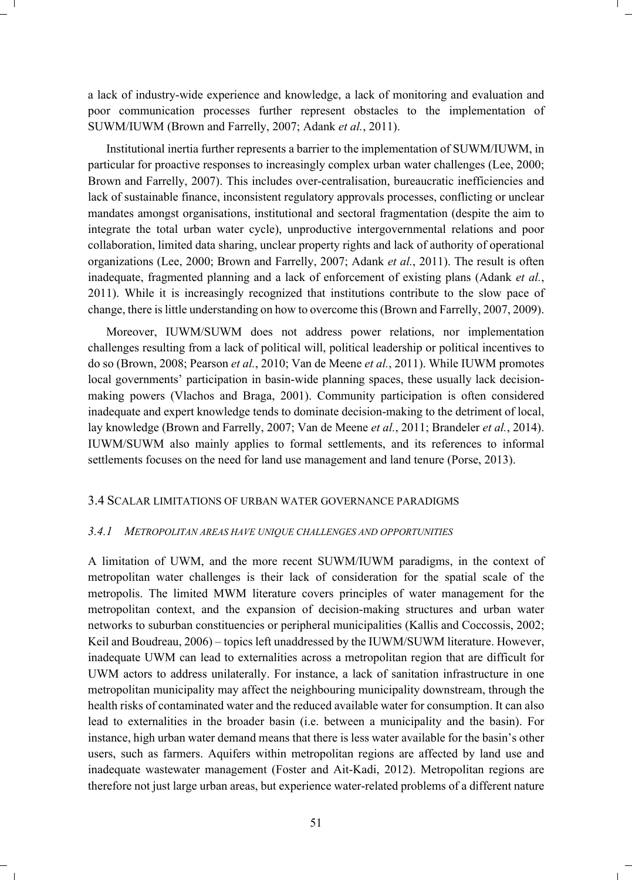a lack of industry-wide experience and knowledge, a lack of monitoring and evaluation and poor communication processes further represent obstacles to the implementation of SUWM/IUWM (Brown and Farrelly, 2007; Adank *et al.*, 2011).

Institutional inertia further represents a barrier to the implementation of SUWM/IUWM, in particular for proactive responses to increasingly complex urban water challenges (Lee, 2000; Brown and Farrelly, 2007). This includes over-centralisation, bureaucratic inefficiencies and lack of sustainable finance, inconsistent regulatory approvals processes, conflicting or unclear mandates amongst organisations, institutional and sectoral fragmentation (despite the aim to integrate the total urban water cycle), unproductive intergovernmental relations and poor collaboration, limited data sharing, unclear property rights and lack of authority of operational organizations (Lee, 2000; Brown and Farrelly, 2007; Adank *et al.*, 2011). The result is often inadequate, fragmented planning and a lack of enforcement of existing plans (Adank *et al.*, 2011). While it is increasingly recognized that institutions contribute to the slow pace of change, there is little understanding on how to overcome this (Brown and Farrelly, 2007, 2009).

Moreover, IUWM/SUWM does not address power relations, nor implementation challenges resulting from a lack of political will, political leadership or political incentives to do so (Brown, 2008; Pearson *et al.*, 2010; Van de Meene *et al.*, 2011). While IUWM promotes local governments' participation in basin-wide planning spaces, these usually lack decisionmaking powers (Vlachos and Braga, 2001). Community participation is often considered inadequate and expert knowledge tends to dominate decision-making to the detriment of local, lay knowledge (Brown and Farrelly, 2007; Van de Meene *et al.*, 2011; Brandeler *et al.*, 2014). IUWM/SUWM also mainly applies to formal settlements, and its references to informal settlements focuses on the need for land use management and land tenure (Porse, 2013).

#### 3.4 SCALAR LIMITATIONS OF URBAN WATER GOVERNANCE PARADIGMS

#### *3.4.1 METROPOLITAN AREAS HAVE UNIQUE CHALLENGES AND OPPORTUNITIES*

A limitation of UWM, and the more recent SUWM/IUWM paradigms, in the context of metropolitan water challenges is their lack of consideration for the spatial scale of the metropolis. The limited MWM literature covers principles of water management for the metropolitan context, and the expansion of decision-making structures and urban water networks to suburban constituencies or peripheral municipalities (Kallis and Coccossis, 2002; Keil and Boudreau, 2006) – topics left unaddressed by the IUWM/SUWM literature. However, inadequate UWM can lead to externalities across a metropolitan region that are difficult for UWM actors to address unilaterally. For instance, a lack of sanitation infrastructure in one metropolitan municipality may affect the neighbouring municipality downstream, through the health risks of contaminated water and the reduced available water for consumption. It can also lead to externalities in the broader basin (i.e. between a municipality and the basin). For instance, high urban water demand means that there is less water available for the basin's other users, such as farmers. Aquifers within metropolitan regions are affected by land use and inadequate wastewater management (Foster and Ait-Kadi, 2012). Metropolitan regions are therefore not just large urban areas, but experience water-related problems of a different nature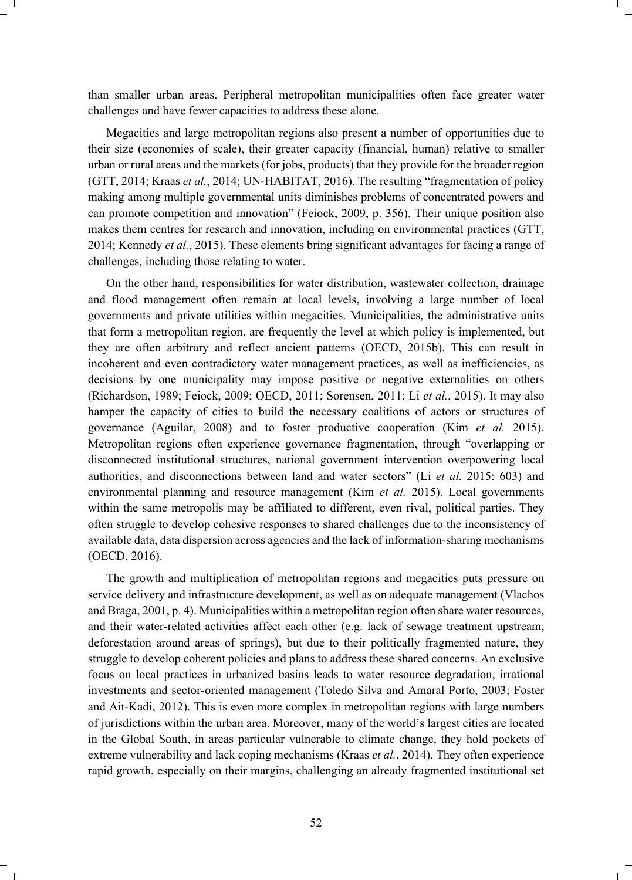than smaller urban areas. Peripheral metropolitan municipalities often face greater water challenges and have fewer capacities to address these alone.

Megacities and large metropolitan regions also present a number of opportunities due to their size (economies of scale), their greater capacity (financial, human) relative to smaller urban or rural areas and the markets (for jobs, products) that they provide for the broader region (GTT, 2014; Kraas *et al.*, 2014; UN-HABITAT, 2016). The resulting "fragmentation of policy making among multiple governmental units diminishes problems of concentrated powers and can promote competition and innovation" (Feiock, 2009, p. 356). Their unique position also makes them centres for research and innovation, including on environmental practices (GTT, 2014; Kennedy *et al.*, 2015). These elements bring significant advantages for facing a range of challenges, including those relating to water.

On the other hand, responsibilities for water distribution, wastewater collection, drainage and flood management often remain at local levels, involving a large number of local governments and private utilities within megacities. Municipalities, the administrative units that form a metropolitan region, are frequently the level at which policy is implemented, but they are often arbitrary and reflect ancient patterns (OECD, 2015b). This can result in incoherent and even contradictory water management practices, as well as inefficiencies, as decisions by one municipality may impose positive or negative externalities on others (Richardson, 1989; Feiock, 2009; OECD, 2011; Sorensen, 2011; Li *et al.*, 2015). It may also hamper the capacity of cities to build the necessary coalitions of actors or structures of governance (Aguilar, 2008) and to foster productive cooperation (Kim *et al.* 2015). Metropolitan regions often experience governance fragmentation, through "overlapping or disconnected institutional structures, national government intervention overpowering local authorities, and disconnections between land and water sectors" (Li *et al.* 2015: 603) and environmental planning and resource management (Kim *et al.* 2015). Local governments within the same metropolis may be affiliated to different, even rival, political parties. They often struggle to develop cohesive responses to shared challenges due to the inconsistency of available data, data dispersion across agencies and the lack of information-sharing mechanisms (OECD, 2016).

The growth and multiplication of metropolitan regions and megacities puts pressure on service delivery and infrastructure development, as well as on adequate management (Vlachos and Braga, 2001, p. 4). Municipalities within a metropolitan region often share water resources, and their water-related activities affect each other (e.g. lack of sewage treatment upstream, deforestation around areas of springs), but due to their politically fragmented nature, they struggle to develop coherent policies and plans to address these shared concerns. An exclusive focus on local practices in urbanized basins leads to water resource degradation, irrational investments and sector-oriented management (Toledo Silva and Amaral Porto, 2003; Foster and Ait-Kadi, 2012). This is even more complex in metropolitan regions with large numbers of jurisdictions within the urban area. Moreover, many of the world's largest cities are located in the Global South, in areas particular vulnerable to climate change, they hold pockets of extreme vulnerability and lack coping mechanisms (Kraas *et al.*, 2014). They often experience rapid growth, especially on their margins, challenging an already fragmented institutional set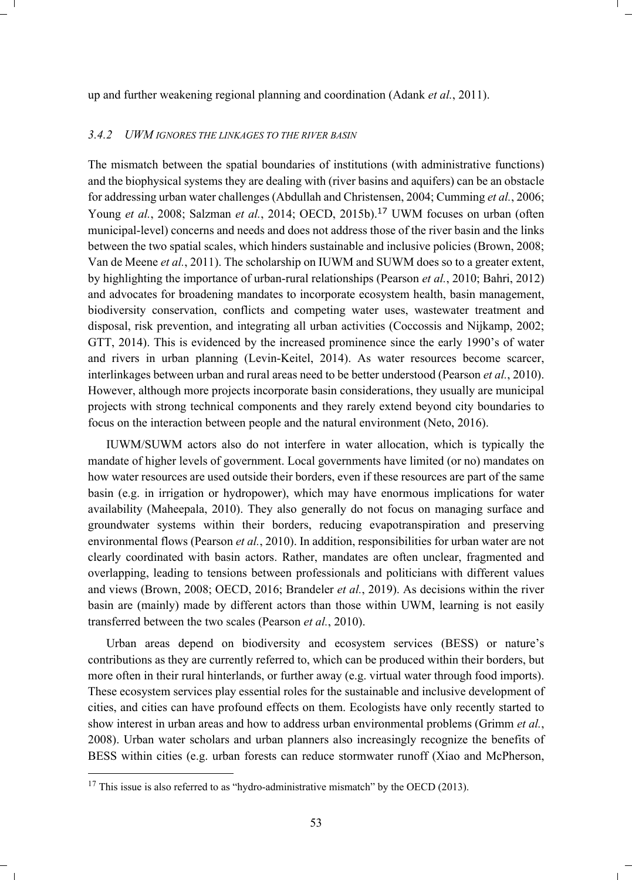up and further weakening regional planning and coordination (Adank *et al.*, 2011).

#### *3.4.2 UWM IGNORES THE LINKAGES TO THE RIVER BASIN*

The mismatch between the spatial boundaries of institutions (with administrative functions) and the biophysical systems they are dealing with (river basins and aquifers) can be an obstacle for addressing urban water challenges (Abdullah and Christensen, 2004; Cumming *et al.*, 2006; Young *et al.*, 2008; Salzman *et al.*, 2014; OECD, 2015b).<sup>17</sup> UWM focuses on urban (often municipal-level) concerns and needs and does not address those of the river basin and the links between the two spatial scales, which hinders sustainable and inclusive policies (Brown, 2008; Van de Meene *et al.*, 2011). The scholarship on IUWM and SUWM does so to a greater extent, by highlighting the importance of urban-rural relationships (Pearson *et al.*, 2010; Bahri, 2012) and advocates for broadening mandates to incorporate ecosystem health, basin management, biodiversity conservation, conflicts and competing water uses, wastewater treatment and disposal, risk prevention, and integrating all urban activities (Coccossis and Nijkamp, 2002; GTT, 2014). This is evidenced by the increased prominence since the early 1990's of water and rivers in urban planning (Levin-Keitel, 2014). As water resources become scarcer, interlinkages between urban and rural areas need to be better understood (Pearson *et al.*, 2010). However, although more projects incorporate basin considerations, they usually are municipal projects with strong technical components and they rarely extend beyond city boundaries to focus on the interaction between people and the natural environment (Neto, 2016).

IUWM/SUWM actors also do not interfere in water allocation, which is typically the mandate of higher levels of government. Local governments have limited (or no) mandates on how water resources are used outside their borders, even if these resources are part of the same basin (e.g. in irrigation or hydropower), which may have enormous implications for water availability (Maheepala, 2010). They also generally do not focus on managing surface and groundwater systems within their borders, reducing evapotranspiration and preserving environmental flows (Pearson *et al.*, 2010). In addition, responsibilities for urban water are not clearly coordinated with basin actors. Rather, mandates are often unclear, fragmented and overlapping, leading to tensions between professionals and politicians with different values and views (Brown, 2008; OECD, 2016; Brandeler *et al.*, 2019). As decisions within the river basin are (mainly) made by different actors than those within UWM, learning is not easily transferred between the two scales (Pearson *et al.*, 2010).

Urban areas depend on biodiversity and ecosystem services (BESS) or nature's contributions as they are currently referred to, which can be produced within their borders, but more often in their rural hinterlands, or further away (e.g. virtual water through food imports). These ecosystem services play essential roles for the sustainable and inclusive development of cities, and cities can have profound effects on them. Ecologists have only recently started to show interest in urban areas and how to address urban environmental problems (Grimm *et al.*, 2008). Urban water scholars and urban planners also increasingly recognize the benefits of BESS within cities (e.g. urban forests can reduce stormwater runoff (Xiao and McPherson,

 $17$  This issue is also referred to as "hydro-administrative mismatch" by the OECD (2013).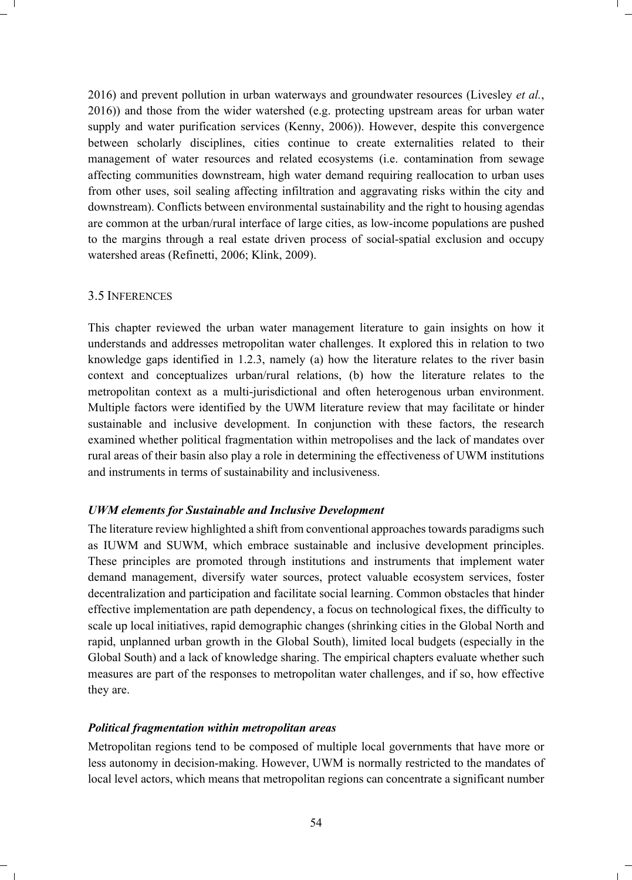2016) and prevent pollution in urban waterways and groundwater resources (Livesley *et al.*, 2016)) and those from the wider watershed (e.g. protecting upstream areas for urban water supply and water purification services (Kenny, 2006)). However, despite this convergence between scholarly disciplines, cities continue to create externalities related to their management of water resources and related ecosystems (i.e. contamination from sewage affecting communities downstream, high water demand requiring reallocation to urban uses from other uses, soil sealing affecting infiltration and aggravating risks within the city and downstream). Conflicts between environmental sustainability and the right to housing agendas are common at the urban/rural interface of large cities, as low-income populations are pushed to the margins through a real estate driven process of social-spatial exclusion and occupy watershed areas (Refinetti, 2006; Klink, 2009).

#### 3.5 INFERENCES

This chapter reviewed the urban water management literature to gain insights on how it understands and addresses metropolitan water challenges. It explored this in relation to two knowledge gaps identified in 1.2.3, namely (a) how the literature relates to the river basin context and conceptualizes urban/rural relations, (b) how the literature relates to the metropolitan context as a multi-jurisdictional and often heterogenous urban environment. Multiple factors were identified by the UWM literature review that may facilitate or hinder sustainable and inclusive development. In conjunction with these factors, the research examined whether political fragmentation within metropolises and the lack of mandates over rural areas of their basin also play a role in determining the effectiveness of UWM institutions and instruments in terms of sustainability and inclusiveness.

#### *UWM elements for Sustainable and Inclusive Development*

The literature review highlighted a shift from conventional approaches towards paradigms such as IUWM and SUWM, which embrace sustainable and inclusive development principles. These principles are promoted through institutions and instruments that implement water demand management, diversify water sources, protect valuable ecosystem services, foster decentralization and participation and facilitate social learning. Common obstacles that hinder effective implementation are path dependency, a focus on technological fixes, the difficulty to scale up local initiatives, rapid demographic changes (shrinking cities in the Global North and rapid, unplanned urban growth in the Global South), limited local budgets (especially in the Global South) and a lack of knowledge sharing. The empirical chapters evaluate whether such measures are part of the responses to metropolitan water challenges, and if so, how effective they are.

#### *Political fragmentation within metropolitan areas*

Metropolitan regions tend to be composed of multiple local governments that have more or less autonomy in decision-making. However, UWM is normally restricted to the mandates of local level actors, which means that metropolitan regions can concentrate a significant number